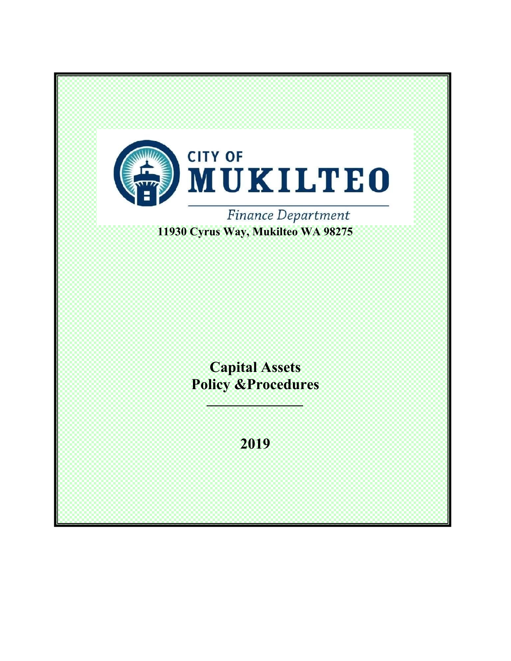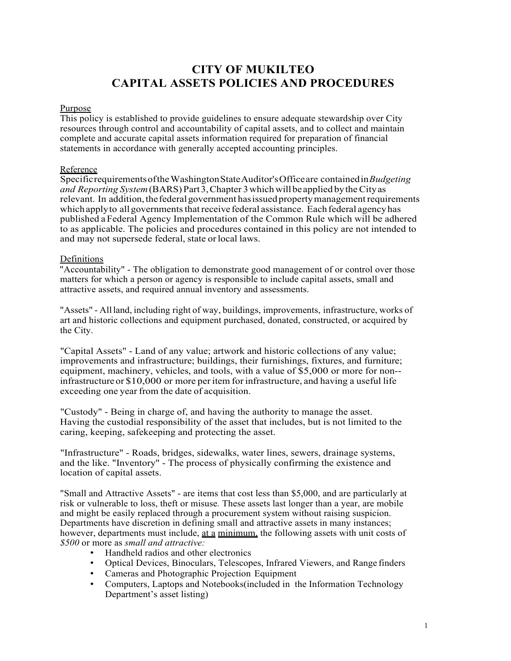# **CITY OF MUKILTEO CAPITAL ASSETS POLICIES AND PROCEDURES**

#### Purpose

This policy is established to provide guidelines to ensure adequate stewardship over City resources through control and accountability of capital assets, and to collect and maintain complete and accurate capital assets information required for preparation of financial statements in accordance with generally accepted accounting principles.

## Reference

Specific requirements of the Washington State Auditor's Office are contained in *Budgeting and Reporting System* (BARS) Part 3, Chapter 3 which will be applied by the City as relevant. In addition, the federal government has issued property management requirements which apply to all governments that receive federal assistance. Each federal agency has published a Federal Agency Implementation of the Common Rule which will be adhered to as applicable. The policies and procedures contained in this policy are not intended to and may not supersede federal, state or local laws.

## Definitions

"Accountability" - The obligation to demonstrate good management of or control over those matters for which a person or agency is responsible to include capital assets, small and attractive assets, and required annual inventory and assessments.

"Assets" - All land, including right of way, buildings, improvements, infrastructure, works of art and historic collections and equipment purchased, donated, constructed, or acquired by the City.

"Capital Assets" - Land of any value; artwork and historic collections of any value; improvements and infrastructure; buildings, their furnishings, fixtures, and furniture; equipment, machinery, vehicles, and tools, with a value of \$5,000 or more for non- infrastructure or \$10,000 or more per item for infrastructure, and having a useful life exceeding one year from the date of acquisition.

"Custody" - Being in charge of, and having the authority to manage the asset. Having the custodial responsibility of the asset that includes, but is not limited to the caring, keeping, safekeeping and protecting the asset.

"Infrastructure" - Roads, bridges, sidewalks, water lines, sewers, drainage systems, and the like. "Inventory" - The process of physically confirming the existence and location of capital assets.

"Small and Attractive Assets" - are items that cost less than \$5,000, and are particularly at risk or vulnerable to loss, theft or misuse*.* These assets last longer than a year, are mobile and might be easily replaced through a procurement system without raising suspicion. Departments have discretion in defining small and attractive assets in many instances; however, departments must include, at a minimum, the following assets with unit costs of *\$500* or more as *small and attractive:*

- Handheld radios and other electronics
- Optical Devices, Binoculars, Telescopes, Infrared Viewers, and Range finders
- Cameras and Photographic Projection Equipment
- Computers, Laptops and Notebooks(included in the Information Technology Department's asset listing)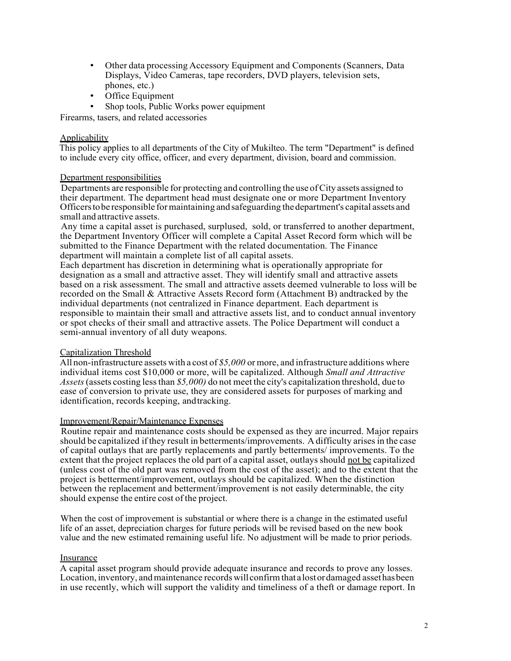- Other data processing Accessory Equipment and Components (Scanners, Data Displays, Video Cameras, tape recorders, DVD players, television sets, phones, etc.)
- Office Equipment
- Shop tools, Public Works power equipment

Firearms, tasers, and related accessories

## **Applicability**

This policy applies to all departments of the City of Mukilteo. The term "Department" is defined to include every city office, officer, and every department, division, board and commission.

## Department responsibilities

Departments are responsible for protecting and controlling the use of City assets assigned to their department. The department head must designate one or more Department Inventory Officers to be responsible for maintaining and safeguarding the department's capital assets and small and attractive assets.

Any time a capital asset is purchased, surplused, sold, or transferred to another department, the Department Inventory Officer will complete a Capital Asset Record form which will be submitted to the Finance Department with the related documentation. The Finance department will maintain a complete list of all capital assets.

Each department has discretion in determining what is operationally appropriate for designation as a small and attractive asset. They will identify small and attractive assets based on a risk assessment. The small and attractive assets deemed vulnerable to loss will be recorded on the Small & Attractive Assets Record form (Attachment B) andtracked by the individual departments (not centralized in Finance department. Each department is responsible to maintain their small and attractive assets list, and to conduct annual inventory or spot checks of their small and attractive assets. The Police Department will conduct a semi-annual inventory of all duty weapons.

#### Capitalization Threshold

All non-infrastructure assets with a cost of *\$5,000* or more, and infrastructure additions where individual items cost \$10,000 or more, will be capitalized. Although *Small and Attractive Assets* (assets costing less than *\$5,000)* do not meet the city's capitalization threshold, due to ease of conversion to private use, they are considered assets for purposes of marking and identification, records keeping, and tracking.

#### Improvement/Repair/Maintenance Expenses

Routine repair and maintenance costs should be expensed as they are incurred. Major repairs should be capitalized if they result in betterments/improvements. A difficulty arises in the case of capital outlays that are partly replacements and partly betterments/ improvements. To the extent that the project replaces the old part of a capital asset, outlays should not be capitalized (unless cost of the old part was removed from the cost of the asset); and to the extent that the project is betterment/improvement, outlays should be capitalized. When the distinction between the replacement and betterment/improvement is not easily determinable, the city should expense the entire cost of the project.

When the cost of improvement is substantial or where there is a change in the estimated useful life of an asset, depreciation charges for future periods will be revised based on the new book value and the new estimated remaining useful life. No adjustment will be made to prior periods.

#### Insurance

A capital asset program should provide adequate insurance and records to prove any losses. Location, inventory, and maintenance records will confirm that a lost or damaged asset has been in use recently, which will support the validity and timeliness of a theft or damage report. In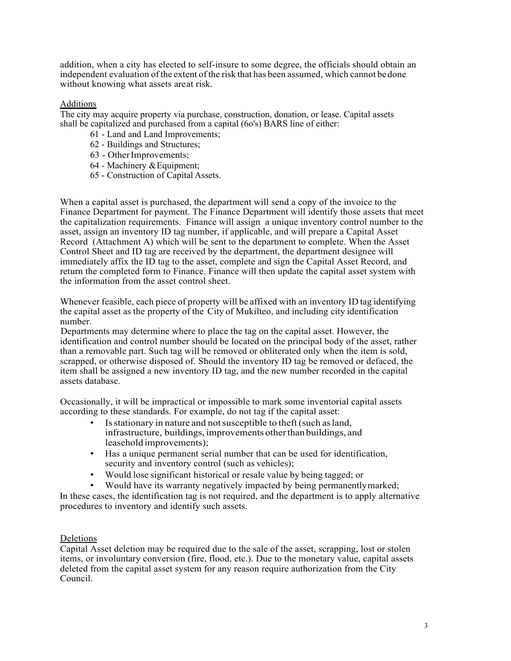addition, when a city has elected to self-insure to some degree, the officials should obtain an independent evaluation of the extent of the risk that has been assumed, which cannot be done without knowing what assets are at risk.

# Additions

The city may acquire property via purchase, construction, donation, or lease. Capital assets shall be capitalized and purchased from a capital (6o's) BARS line of either:

- 61 Land and Land Improvements;
- 62 Buildings and Structures;
- 63 Other Improvements;
- 64 Machinery & Equipment;
- 65 Construction of Capital Assets.

When a capital asset is purchased, the department will send a copy of the invoice to the Finance Department for payment. The Finance Department will identify those assets that meet the capitalization requirements. Finance will assign a unique inventory control number to the asset, assign an inventory ID tag number, if applicable, and will prepare a Capital Asset Record (Attachment A) which will be sent to the department to complete. When the Asset Control Sheet and ID tag are received by the department, the department designee will immediately affix the ID tag to the asset, complete and sign the Capital Asset Record, and return the completed form to Finance. Finance will then update the capital asset system with the information from the asset control sheet.

Whenever feasible, each piece of property will be affixed with an inventory ID tag identifying the capital asset as the property of the City of Mukilteo, and including city identification number.

Departments may determine where to place the tag on the capital asset. However, the identification and control number should be located on the principal body of the asset, rather than a removable part. Such tag will be removed or obliterated only when the item is sold, scrapped, or otherwise disposed of. Should the inventory ID tag be removed or defaced, the item shall be assigned a new inventory ID tag, and the new number recorded in the capital assets database.

Occasionally, it will be impractical or impossible to mark some inventorial capital assets according to these standards. For example, do not tag if the capital asset:

- Is stationary in nature and not susceptible to theft (such as land, infrastructure, buildings, improvements other than buildings, and leasehold improvements);
- Has a unique permanent serial number that can be used for identification, security and inventory control (such as vehicles);
- Would lose significant historical or resale value by being tagged; or
- Would have its warranty negatively impacted by being permanently marked;

In these cases, the identification tag is not required, and the department is to apply alternative procedures to inventory and identify such assets.

# Deletions

Capital Asset deletion may be required due to the sale of the asset, scrapping, lost or stolen items, or involuntary conversion (fire, flood, etc.). Due to the monetary value, capital assets deleted from the capital asset system for any reason require authorization from the City Council.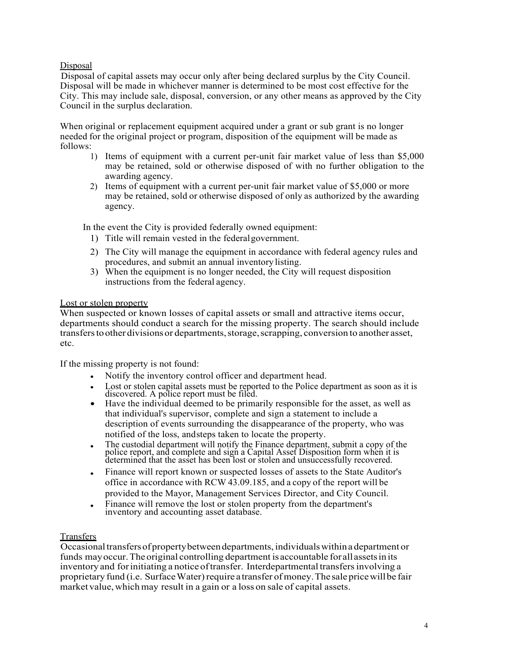# Disposal

Disposal of capital assets may occur only after being declared surplus by the City Council. Disposal will be made in whichever manner is determined to be most cost effective for the City. This may include sale, disposal, conversion, or any other means as approved by the City Council in the surplus declaration.

When original or replacement equipment acquired under a grant or sub grant is no longer needed for the original project or program, disposition of the equipment will be made as follows:

- 1) Items of equipment with a current per-unit fair market value of less than \$5,000 may be retained, sold or otherwise disposed of with no further obligation to the awarding agency.
- 2) Items of equipment with a current per-unit fair market value of \$5,000 or more may be retained, sold or otherwise disposed of only as authorized by the awarding agency.

In the event the City is provided federally owned equipment:

- 1) Title will remain vested in the federal government.
- 2) The City will manage the equipment in accordance with federal agency rules and procedures, and submit an annual inventory listing.
- 3) When the equipment is no longer needed, the City will request disposition instructions from the federal agency.

# Lost or stolen property

When suspected or known losses of capital assets or small and attractive items occur, departments should conduct a search for the missing property. The search should include transfers to other divisions or departments, storage, scrapping, conversion to another asset, etc.

If the missing property is not found:

- Notify the inventory control officer and department head.
- Lost or stolen capital assets must be reported to the Police department as soon as it is discovered. A police report must be filed.
- Have the individual deemed to be primarily responsible for the asset, as well as that individual's supervisor, complete and sign a statement to include a description of events surrounding the disappearance of the property, who was notified of the loss, and steps taken to locate the property.
- The custodial department will notify the Finance department, submit a copy of the police report, and complete and sign a Capital Asset Disposition form when it is determined that the asset has been lost or stolen and uns
- Finance will report known or suspected losses of assets to the State Auditor's office in accordance with RCW 43.09.185, and a copy of the report will be provided to the Mayor, Management Services Director, and City Council.
- Finance will remove the lost or stolen property from the department's inventory and accounting asset database.

# **Transfers**

Occasional transfers of property between departments, individuals within a department or funds may occur. The original controlling department is accountable for all assets in its inventory and for initiating a notice of transfer. Interdepartmental transfers involving a proprietary fund (i.e. Surface Water) require a transfer of money. The sale price will be fair market value, which may result in a gain or a loss on sale of capital assets.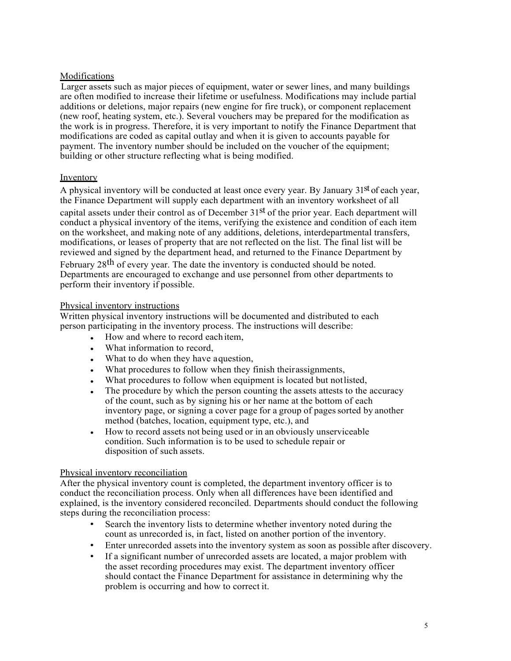# **Modifications**

Larger assets such as major pieces of equipment, water or sewer lines, and many buildings are often modified to increase their lifetime or usefulness. Modifications may include partial additions or deletions, major repairs (new engine for fire truck), or component replacement (new roof, heating system, etc.). Several vouchers may be prepared for the modification as the work is in progress. Therefore, it is very important to notify the Finance Department that modifications are coded as capital outlay and when it is given to accounts payable for payment. The inventory number should be included on the voucher of the equipment; building or other structure reflecting what is being modified.

# Inventory

A physical inventory will be conducted at least once every year. By January 31<sup>st</sup> of each year, the Finance Department will supply each department with an inventory worksheet of all capital assets under their control as of December 31st of the prior year. Each department will conduct a physical inventory of the items, verifying the existence and condition of each item on the worksheet, and making note of any additions, deletions, interdepartmental transfers, modifications, or leases of property that are not reflected on the list. The final list will be reviewed and signed by the department head, and returned to the Finance Department by

February  $28<sup>th</sup>$  of every year. The date the inventory is conducted should be noted. Departments are encouraged to exchange and use personnel from other departments to perform their inventory if possible.

## Physical inventory instructions

Written physical inventory instructions will be documented and distributed to each person participating in the inventory process. The instructions will describe:

- How and where to record each item.
- What information to record,
- What to do when they have a question,
- What procedures to follow when they finish their assignments,
- What procedures to follow when equipment is located but not listed,
- The procedure by which the person counting the assets attests to the accuracy of the count, such as by signing his or her name at the bottom of each inventory page, or signing a cover page for a group of pages sorted by another method (batches, location, equipment type, etc.), and
- How to record assets not being used or in an obviously unserviceable condition. Such information is to be used to schedule repair or disposition of such assets.

# Physical inventory reconciliation

After the physical inventory count is completed, the department inventory officer is to conduct the reconciliation process. Only when all differences have been identified and explained, is the inventory considered reconciled. Departments should conduct the following steps during the reconciliation process:

- Search the inventory lists to determine whether inventory noted during the count as unrecorded is, in fact, listed on another portion of the inventory.
- Enter unrecorded assets into the inventory system as soon as possible after discovery.
- If a significant number of unrecorded assets are located, a major problem with the asset recording procedures may exist. The department inventory officer should contact the Finance Department for assistance in determining why the problem is occurring and how to correct it.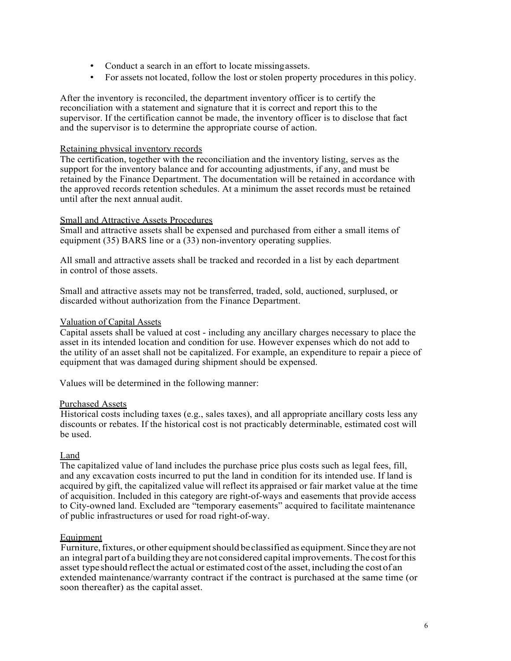- Conduct a search in an effort to locate missing assets.
- For assets not located, follow the lost or stolen property procedures in this policy.

After the inventory is reconciled, the department inventory officer is to certify the reconciliation with a statement and signature that it is correct and report this to the supervisor. If the certification cannot be made, the inventory officer is to disclose that fact and the supervisor is to determine the appropriate course of action.

#### Retaining physical inventory records

The certification, together with the reconciliation and the inventory listing, serves as the support for the inventory balance and for accounting adjustments, if any, and must be retained by the Finance Department. The documentation will be retained in accordance with the approved records retention schedules. At a minimum the asset records must be retained until after the next annual audit.

## Small and Attractive Assets Procedures

Small and attractive assets shall be expensed and purchased from either a small items of equipment (35) BARS line or a (33) non-inventory operating supplies.

All small and attractive assets shall be tracked and recorded in a list by each department in control of those assets.

Small and attractive assets may not be transferred, traded, sold, auctioned, surplused, or discarded without authorization from the Finance Department.

#### Valuation of Capital Assets

Capital assets shall be valued at cost - including any ancillary charges necessary to place the asset in its intended location and condition for use. However expenses which do not add to the utility of an asset shall not be capitalized. For example, an expenditure to repair a piece of equipment that was damaged during shipment should be expensed.

Values will be determined in the following manner:

#### Purchased Assets

Historical costs including taxes (e.g., sales taxes), and all appropriate ancillary costs less any discounts or rebates. If the historical cost is not practicably determinable, estimated cost will be used.

# Land

The capitalized value of land includes the purchase price plus costs such as legal fees, fill, and any excavation costs incurred to put the land in condition for its intended use. If land is acquired by gift, the capitalized value will reflect its appraised or fair market value at the time of acquisition. Included in this category are right-of-ways and easements that provide access to City-owned land. Excluded are "temporary easements" acquired to facilitate maintenance of public infrastructures or used for road right-of-way.

# **Equipment**

Furniture, fixtures, or other equipment should be classified as equipment. Since they are not an integral part of a building they are not considered capital improvements. The cost for this asset type should reflect the actual or estimated cost of the asset, including the cost of an extended maintenance/warranty contract if the contract is purchased at the same time (or soon thereafter) as the capital asset.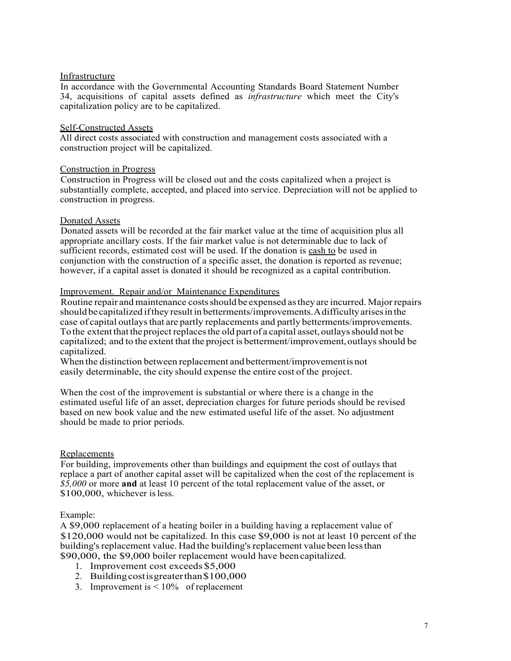## Infrastructure

In accordance with the Governmental Accounting Standards Board Statement Number 34, acquisitions of capital assets defined as *infrastructure* which meet the City's capitalization policy are to be capitalized.

## Self-Constructed Assets

All direct costs associated with construction and management costs associated with a construction project will be capitalized.

## Construction in Progress

Construction in Progress will be closed out and the costs capitalized when a project is substantially complete, accepted, and placed into service. Depreciation will not be applied to construction in progress.

## Donated Assets

Donated assets will be recorded at the fair market value at the time of acquisition plus all appropriate ancillary costs. If the fair market value is not determinable due to lack of sufficient records, estimated cost will be used. If the donation is cash to be used in conjunction with the construction of a specific asset, the donation is reported as revenue; however, if a capital asset is donated it should be recognized as a capital contribution.

## Improvement. Repair and/or Maintenance Expenditures

Routine repair and maintenance costs should be expensed as they are incurred. Major repairs should be capitalized if they result in betterments/improvements. A difficulty arises in the case of capital outlays that are partly replacements and partly betterments/improvements. To the extent that the project replaces the old part of a capital asset, outlays should not be capitalized; and to the extent that the project is betterment/improvement, outlays should be capitalized.

When the distinction between replacement and betterment/improvement is not easily determinable, the city should expense the entire cost of the project.

When the cost of the improvement is substantial or where there is a change in the estimated useful life of an asset, depreciation charges for future periods should be revised based on new book value and the new estimated useful life of the asset. No adjustment should be made to prior periods.

# **Replacements**

For building, improvements other than buildings and equipment the cost of outlays that replace a part of another capital asset will be capitalized when the cost of the replacement is *\$5,000* or more **and** at least 10 percent of the total replacement value of the asset, or \$100,000, whichever is less.

#### Example:

A \$9,000 replacement of a heating boiler in a building having a replacement value of \$120,000 would not be capitalized. In this case \$9,000 is not at least 10 percent of the building's replacement value. Had the building's replacement value been less than \$90,000, the \$9,000 boiler replacement would have been capitalized.

- 1. Improvement cost exceeds \$5,000
- 2. Building cost is greater than \$100,000
- 3. Improvement is < 10% of replacement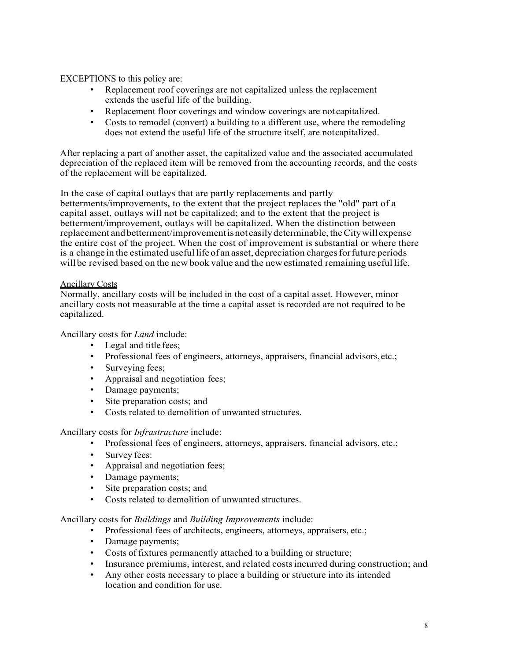EXCEPTIONS to this policy are:

- Replacement roof coverings are not capitalized unless the replacement extends the useful life of the building.
- Replacement floor coverings and window coverings are not capitalized.
- Costs to remodel (convert) a building to a different use, where the remodeling does not extend the useful life of the structure itself, are not capitalized.

After replacing a part of another asset, the capitalized value and the associated accumulated depreciation of the replaced item will be removed from the accounting records, and the costs of the replacement will be capitalized.

In the case of capital outlays that are partly replacements and partly

betterments/improvements, to the extent that the project replaces the "old" part of a capital asset, outlays will not be capitalized; and to the extent that the project is betterment/improvement, outlays will be capitalized. When the distinction between replacement and betterment/improvement is not easily determinable, the City will expense the entire cost of the project. When the cost of improvement is substantial or where there is a change in the estimated useful life of an asset, depreciation charges for future periods will be revised based on the new book value and the new estimated remaining useful life.

# Ancillary Costs

Normally, ancillary costs will be included in the cost of a capital asset. However, minor ancillary costs not measurable at the time a capital asset is recorded are not required to be capitalized.

Ancillary costs for *Land* include:

- Legal and title fees;
- Professional fees of engineers, attorneys, appraisers, financial advisors, etc.;
- Surveying fees;
- Appraisal and negotiation fees;
- Damage payments;
- Site preparation costs; and
- Costs related to demolition of unwanted structures.

Ancillary costs for *Infrastructure* include:

- Professional fees of engineers, attorneys, appraisers, financial advisors, etc.;
- Survey fees:
- Appraisal and negotiation fees;
- Damage payments;
- Site preparation costs; and
- Costs related to demolition of unwanted structures.

Ancillary costs for *Buildings* and *Building Improvements* include:

- Professional fees of architects, engineers, attorneys, appraisers, etc.;
- Damage payments;
- Costs of fixtures permanently attached to a building or structure;
- Insurance premiums, interest, and related costs incurred during construction; and
- Any other costs necessary to place a building or structure into its intended location and condition for use.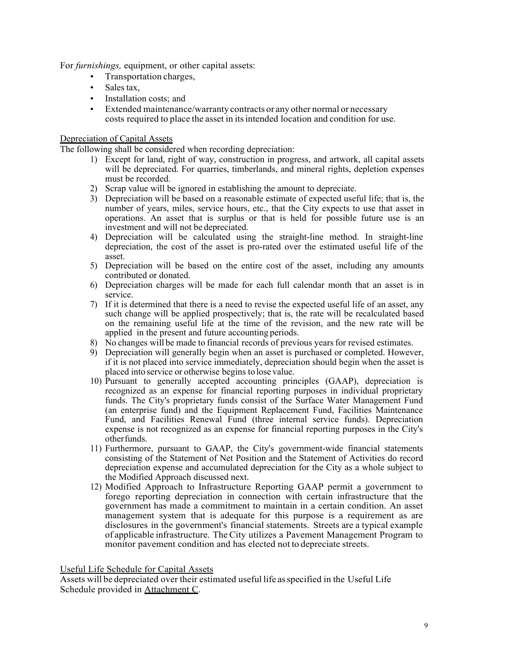For *furnishings,* equipment, or other capital assets:

- Transportation charges,
- Sales tax.
- Installation costs: and
- Extended maintenance/warranty contracts or any other normal or necessary costs required to place the asset in its intended location and condition for use.

## Depreciation of Capital Assets

The following shall be considered when recording depreciation:

- 1) Except for land, right of way, construction in progress, and artwork, all capital assets will be depreciated. For quarries, timberlands, and mineral rights, depletion expenses must be recorded.
- 2) Scrap value will be ignored in establishing the amount to depreciate.
- 3) Depreciation will be based on a reasonable estimate of expected useful life; that is, the number of years, miles, service hours, etc., that the City expects to use that asset in operations. An asset that is surplus or that is held for possible future use is an investment and will not be depreciated.
- 4) Depreciation will be calculated using the straight-line method. In straight-line depreciation, the cost of the asset is pro-rated over the estimated useful life of the asset.
- 5) Depreciation will be based on the entire cost of the asset, including any amounts contributed or donated.
- 6) Depreciation charges will be made for each full calendar month that an asset is in service.
- 7) If it is determined that there is a need to revise the expected useful life of an asset, any such change will be applied prospectively; that is, the rate will be recalculated based on the remaining useful life at the time of the revision, and the new rate will be applied in the present and future accounting periods.
- 8) No changes will be made to financial records of previous years for revised estimates.
- 9) Depreciation will generally begin when an asset is purchased or completed. However, if it is not placed into service immediately, depreciation should begin when the asset is placed into service or otherwise begins to lose value.
- 10) Pursuant to generally accepted accounting principles (GAAP), depreciation is recognized as an expense for financial reporting purposes in individual proprietary funds. The City's proprietary funds consist of the Surface Water Management Fund (an enterprise fund) and the Equipment Replacement Fund, Facilities Maintenance Fund, and Facilities Renewal Fund (three internal service funds). Depreciation expense is not recognized as an expense for financial reporting purposes in the City's other funds.
- 11) Furthermore, pursuant to GAAP, the City's government-wide financial statements consisting of the Statement of Net Position and the Statement of Activities do record depreciation expense and accumulated depreciation for the City as a whole subject to the Modified Approach discussed next.
- 12) Modified Approach to Infrastructure Reporting GAAP permit a government to forego reporting depreciation in connection with certain infrastructure that the government has made a commitment to maintain in a certain condition. An asset management system that is adequate for this purpose is a requirement as are disclosures in the government's financial statements. Streets are a typical example of applicable infrastructure. The City utilizes a Pavement Management Program to monitor pavement condition and has elected not to depreciate streets.

Useful Life Schedule for Capital Assets

Assets will be depreciated over their estimated useful life as specified in the Useful Life Schedule provided in Attachment C.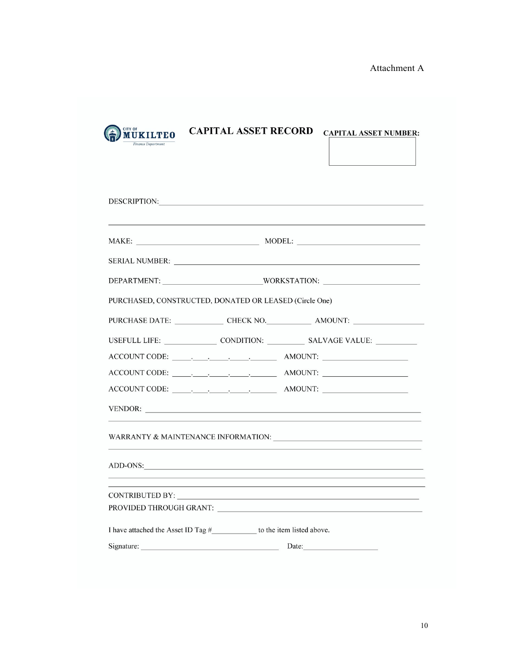Attachment A

| CITY OF<br><b>MUKILTEO</b> |  |
|----------------------------|--|
| Finance Department         |  |

CAPITAL ASSET RECORD CAPITAL ASSET NUMBER:

| DESCRIPTION:<br><u> 1980 - Johann Barbara, martxa alemaniar arg</u>       |
|---------------------------------------------------------------------------|
|                                                                           |
|                                                                           |
|                                                                           |
| PURCHASED, CONSTRUCTED, DONATED OR LEASED (Circle One)                    |
| PURCHASE DATE: CHECK NO. AMOUNT:                                          |
|                                                                           |
|                                                                           |
|                                                                           |
|                                                                           |
|                                                                           |
|                                                                           |
| ADD-ONS:                                                                  |
|                                                                           |
|                                                                           |
| I have attached the Asset ID Tag #_____________ to the item listed above. |
| Signature: Date: Date:                                                    |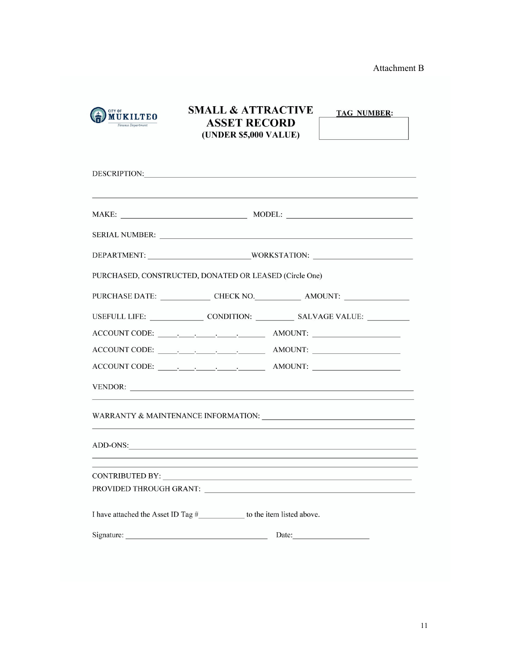Attachment B

| <b>CITY OF</b><br><b>MUKILTEO</b><br>Finance Department | <b>SMALL &amp; ATTRACTIVE</b><br><b>ASSET RECORD</b><br>(UNDER \$5,000 VALUE)                                                                                                                                                  |       | <b>TAG NUMBER:</b><br>the control of the control of the control of      |
|---------------------------------------------------------|--------------------------------------------------------------------------------------------------------------------------------------------------------------------------------------------------------------------------------|-------|-------------------------------------------------------------------------|
|                                                         | DESCRIPTION: University of the contract of the contract of the contract of the contract of the contract of the contract of the contract of the contract of the contract of the contract of the contract of the contract of the |       |                                                                         |
|                                                         |                                                                                                                                                                                                                                |       |                                                                         |
|                                                         |                                                                                                                                                                                                                                |       |                                                                         |
|                                                         |                                                                                                                                                                                                                                |       |                                                                         |
|                                                         | PURCHASED, CONSTRUCTED, DONATED OR LEASED (Circle One)                                                                                                                                                                         |       |                                                                         |
|                                                         |                                                                                                                                                                                                                                |       | PURCHASE DATE: CHECK NO. AMOUNT:                                        |
|                                                         |                                                                                                                                                                                                                                |       |                                                                         |
|                                                         |                                                                                                                                                                                                                                |       |                                                                         |
|                                                         |                                                                                                                                                                                                                                |       |                                                                         |
|                                                         |                                                                                                                                                                                                                                |       |                                                                         |
|                                                         |                                                                                                                                                                                                                                |       |                                                                         |
|                                                         |                                                                                                                                                                                                                                |       | WARRANTY & MAINTENANCE INFORMATION: NARRANTY & MAINTENANCE INFORMATION: |
|                                                         | ADD-ONS:                                                                                                                                                                                                                       |       |                                                                         |
| <b>CONTRIBUTED BY:</b>                                  |                                                                                                                                                                                                                                |       |                                                                         |
|                                                         |                                                                                                                                                                                                                                |       |                                                                         |
|                                                         | I have attached the Asset ID Tag #______________ to the item listed above.                                                                                                                                                     |       |                                                                         |
|                                                         |                                                                                                                                                                                                                                | Date: |                                                                         |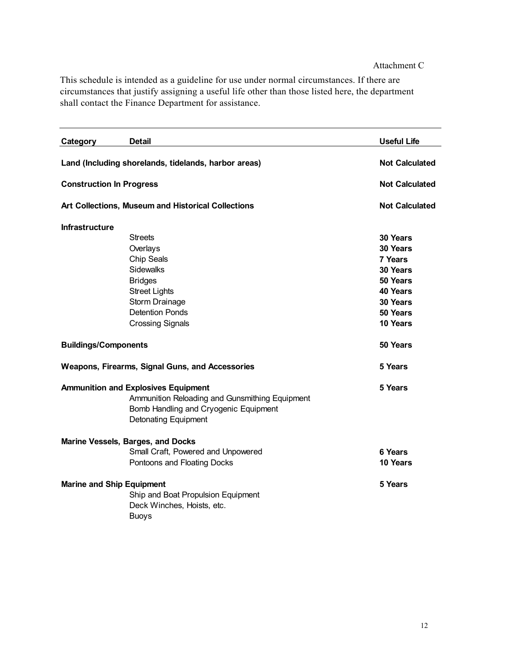## Attachment C

This schedule is intended as a guideline for use under normal circumstances. If there are circumstances that justify assigning a useful life other than those listed here, the department shall contact the Finance Department for assistance.

| Category                                                                                                                                                             | <b>Detail</b>                                                                                                        | <b>Useful Life</b>    |
|----------------------------------------------------------------------------------------------------------------------------------------------------------------------|----------------------------------------------------------------------------------------------------------------------|-----------------------|
| Land (Including shorelands, tidelands, harbor areas)                                                                                                                 |                                                                                                                      | <b>Not Calculated</b> |
| <b>Construction In Progress</b>                                                                                                                                      |                                                                                                                      | <b>Not Calculated</b> |
| Art Collections, Museum and Historical Collections                                                                                                                   |                                                                                                                      | <b>Not Calculated</b> |
| Infrastructure                                                                                                                                                       |                                                                                                                      |                       |
|                                                                                                                                                                      | <b>Streets</b>                                                                                                       | 30 Years              |
|                                                                                                                                                                      | Overlays                                                                                                             | 30 Years              |
|                                                                                                                                                                      | Chip Seals                                                                                                           | 7 Years               |
|                                                                                                                                                                      | Sidewalks                                                                                                            | 30 Years              |
|                                                                                                                                                                      | <b>Bridges</b>                                                                                                       | 50 Years              |
|                                                                                                                                                                      | <b>Street Lights</b>                                                                                                 | 40 Years              |
|                                                                                                                                                                      | Storm Drainage                                                                                                       | 30 Years              |
|                                                                                                                                                                      | <b>Detention Ponds</b>                                                                                               | 50 Years              |
|                                                                                                                                                                      | <b>Crossing Signals</b>                                                                                              | 10 Years              |
| <b>Buildings/Components</b>                                                                                                                                          |                                                                                                                      | 50 Years              |
| <b>Weapons, Firearms, Signal Guns, and Accessories</b>                                                                                                               |                                                                                                                      | 5 Years               |
| <b>Ammunition and Explosives Equipment</b><br>Ammunition Reloading and Gunsmithing Equipment<br>Bomb Handling and Cryogenic Equipment<br><b>Detonating Equipment</b> |                                                                                                                      | 5 Years               |
|                                                                                                                                                                      | <b>Marine Vessels, Barges, and Docks</b>                                                                             |                       |
|                                                                                                                                                                      | Small Craft, Powered and Unpowered                                                                                   | 6 Years               |
|                                                                                                                                                                      | Pontoons and Floating Docks                                                                                          | 10 Years              |
|                                                                                                                                                                      | <b>Marine and Ship Equipment</b><br>Ship and Boat Propulsion Equipment<br>Deck Winches, Hoists, etc.<br><b>Buoys</b> | 5 Years               |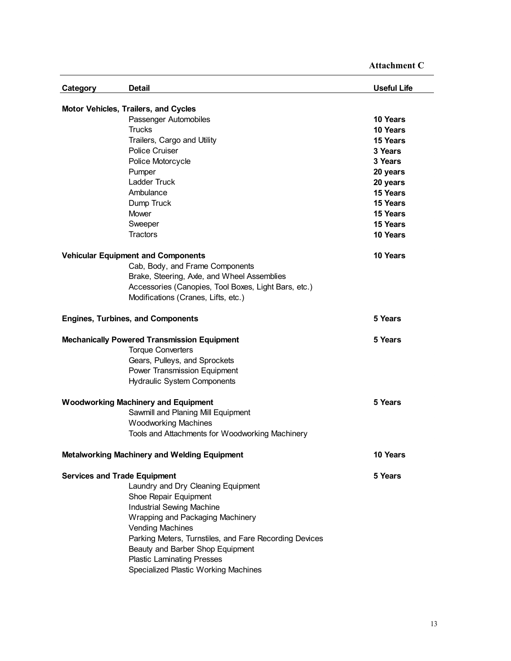| Attachment C |  |
|--------------|--|
|              |  |

| Category                                           | <b>Detail</b>                                                                                                                                                                                  | <b>Useful Life</b> |  |
|----------------------------------------------------|------------------------------------------------------------------------------------------------------------------------------------------------------------------------------------------------|--------------------|--|
| Motor Vehicles, Trailers, and Cycles               |                                                                                                                                                                                                |                    |  |
|                                                    | Passenger Automobiles                                                                                                                                                                          | 10 Years           |  |
|                                                    | <b>Trucks</b>                                                                                                                                                                                  | 10 Years           |  |
|                                                    | Trailers, Cargo and Utility                                                                                                                                                                    | 15 Years           |  |
|                                                    | <b>Police Cruiser</b>                                                                                                                                                                          | 3 Years            |  |
|                                                    | Police Motorcycle                                                                                                                                                                              | 3 Years            |  |
|                                                    | Pumper                                                                                                                                                                                         | 20 years           |  |
|                                                    | <b>Ladder Truck</b>                                                                                                                                                                            | 20 years           |  |
|                                                    | Ambulance                                                                                                                                                                                      | 15 Years           |  |
|                                                    | Dump Truck                                                                                                                                                                                     | 15 Years           |  |
|                                                    | Mower                                                                                                                                                                                          | 15 Years           |  |
|                                                    | Sweeper                                                                                                                                                                                        | 15 Years           |  |
|                                                    | Tractors                                                                                                                                                                                       | 10 Years           |  |
|                                                    |                                                                                                                                                                                                |                    |  |
|                                                    | <b>Vehicular Equipment and Components</b>                                                                                                                                                      | 10 Years           |  |
|                                                    | Cab, Body, and Frame Components                                                                                                                                                                |                    |  |
|                                                    | Brake, Steering, Axle, and Wheel Assemblies                                                                                                                                                    |                    |  |
|                                                    | Accessories (Canopies, Tool Boxes, Light Bars, etc.)                                                                                                                                           |                    |  |
|                                                    | Modifications (Cranes, Lifts, etc.)                                                                                                                                                            |                    |  |
|                                                    |                                                                                                                                                                                                |                    |  |
|                                                    | <b>Engines, Turbines, and Components</b>                                                                                                                                                       | 5 Years            |  |
| <b>Mechanically Powered Transmission Equipment</b> |                                                                                                                                                                                                | 5 Years            |  |
|                                                    | <b>Torque Converters</b>                                                                                                                                                                       |                    |  |
|                                                    | Gears, Pulleys, and Sprockets                                                                                                                                                                  |                    |  |
|                                                    | Power Transmission Equipment                                                                                                                                                                   |                    |  |
|                                                    | <b>Hydraulic System Components</b>                                                                                                                                                             |                    |  |
|                                                    |                                                                                                                                                                                                |                    |  |
|                                                    | <b>Woodworking Machinery and Equipment</b>                                                                                                                                                     | 5 Years            |  |
|                                                    | Sawmill and Planing Mill Equipment                                                                                                                                                             |                    |  |
|                                                    | <b>Woodworking Machines</b>                                                                                                                                                                    |                    |  |
|                                                    | Tools and Attachments for Woodworking Machinery                                                                                                                                                |                    |  |
|                                                    |                                                                                                                                                                                                |                    |  |
|                                                    | <b>Metalworking Machinery and Welding Equipment</b>                                                                                                                                            | 10 Years           |  |
| <b>Services and Trade Equipment</b>                |                                                                                                                                                                                                | 5 Years            |  |
|                                                    | Laundry and Dry Cleaning Equipment                                                                                                                                                             |                    |  |
|                                                    | Shoe Repair Equipment                                                                                                                                                                          |                    |  |
|                                                    | <b>Industrial Sewing Machine</b>                                                                                                                                                               |                    |  |
|                                                    |                                                                                                                                                                                                |                    |  |
|                                                    |                                                                                                                                                                                                |                    |  |
|                                                    |                                                                                                                                                                                                |                    |  |
|                                                    |                                                                                                                                                                                                |                    |  |
|                                                    |                                                                                                                                                                                                |                    |  |
|                                                    | Specialized Plastic Working Machines                                                                                                                                                           |                    |  |
|                                                    | Wrapping and Packaging Machinery<br><b>Vending Machines</b><br>Parking Meters, Turnstiles, and Fare Recording Devices<br>Beauty and Barber Shop Equipment<br><b>Plastic Laminating Presses</b> |                    |  |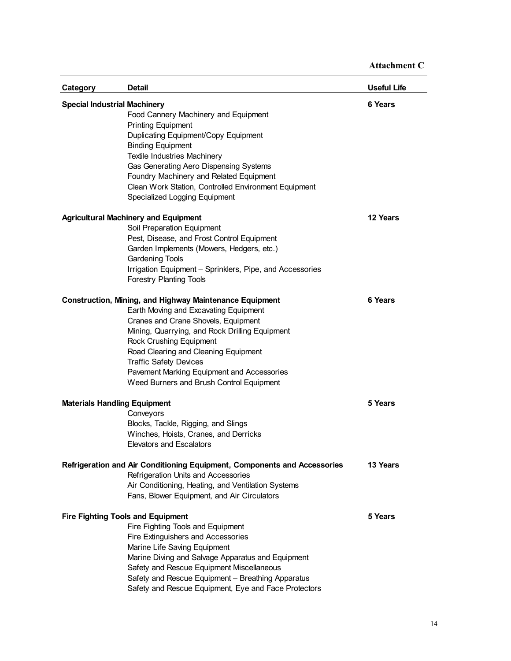| Category                            | Detail                                                                   | <b>Useful Life</b> |
|-------------------------------------|--------------------------------------------------------------------------|--------------------|
| <b>Special Industrial Machinery</b> |                                                                          | 6 Years            |
|                                     | Food Cannery Machinery and Equipment                                     |                    |
|                                     | <b>Printing Equipment</b>                                                |                    |
|                                     | Duplicating Equipment/Copy Equipment                                     |                    |
|                                     | <b>Binding Equipment</b>                                                 |                    |
|                                     | Textile Industries Machinery                                             |                    |
|                                     | Gas Generating Aero Dispensing Systems                                   |                    |
|                                     | Foundry Machinery and Related Equipment                                  |                    |
|                                     | Clean Work Station, Controlled Environment Equipment                     |                    |
|                                     | Specialized Logging Equipment                                            |                    |
|                                     | <b>Agricultural Machinery and Equipment</b>                              | 12 Years           |
|                                     | Soil Preparation Equipment                                               |                    |
|                                     | Pest, Disease, and Frost Control Equipment                               |                    |
|                                     | Garden Implements (Mowers, Hedgers, etc.)                                |                    |
|                                     | <b>Gardening Tools</b>                                                   |                    |
|                                     | Irrigation Equipment - Sprinklers, Pipe, and Accessories                 |                    |
|                                     | <b>Forestry Planting Tools</b>                                           |                    |
|                                     |                                                                          |                    |
|                                     | <b>Construction, Mining, and Highway Maintenance Equipment</b>           | 6 Years            |
|                                     | Earth Moving and Excavating Equipment                                    |                    |
|                                     | Cranes and Crane Shovels, Equipment                                      |                    |
|                                     | Mining, Quarrying, and Rock Drilling Equipment                           |                    |
|                                     | Rock Crushing Equipment                                                  |                    |
|                                     | Road Clearing and Cleaning Equipment                                     |                    |
|                                     | <b>Traffic Safety Devices</b>                                            |                    |
|                                     | Pavement Marking Equipment and Accessories                               |                    |
|                                     | Weed Burners and Brush Control Equipment                                 |                    |
| <b>Materials Handling Equipment</b> |                                                                          | 5 Years            |
|                                     | Conveyors                                                                |                    |
|                                     | Blocks, Tackle, Rigging, and Slings                                      |                    |
|                                     | Winches, Hoists, Cranes, and Derricks                                    |                    |
|                                     | <b>Elevators and Escalators</b>                                          |                    |
|                                     | Refrigeration and Air Conditioning Equipment, Components and Accessories | 13 Years           |
|                                     | Refrigeration Units and Accessories                                      |                    |
|                                     | Air Conditioning, Heating, and Ventilation Systems                       |                    |
|                                     | Fans, Blower Equipment, and Air Circulators                              |                    |
|                                     |                                                                          |                    |
|                                     | <b>Fire Fighting Tools and Equipment</b>                                 | 5 Years            |
|                                     | Fire Fighting Tools and Equipment                                        |                    |
|                                     | Fire Extinguishers and Accessories                                       |                    |
|                                     | Marine Life Saving Equipment                                             |                    |
|                                     | Marine Diving and Salvage Apparatus and Equipment                        |                    |
|                                     | Safety and Rescue Equipment Miscellaneous                                |                    |
|                                     | Safety and Rescue Equipment - Breathing Apparatus                        |                    |
|                                     | Safety and Rescue Equipment, Eye and Face Protectors                     |                    |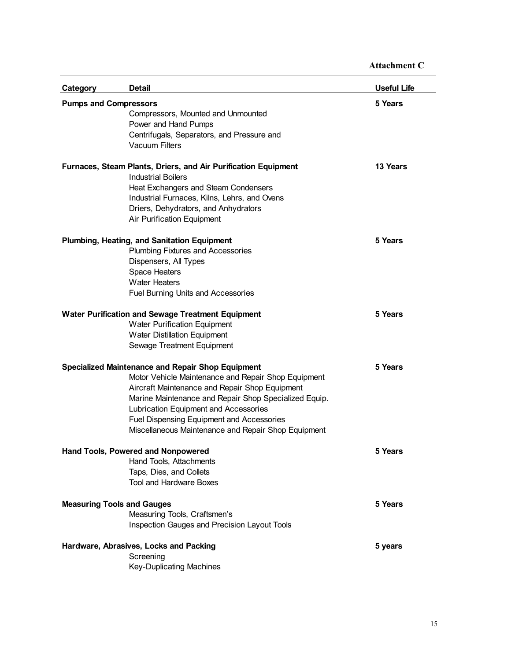| Category                          | <b>Detail</b>                                                  | <b>Useful Life</b> |
|-----------------------------------|----------------------------------------------------------------|--------------------|
| <b>Pumps and Compressors</b>      |                                                                | 5 Years            |
|                                   | Compressors, Mounted and Unmounted                             |                    |
|                                   | Power and Hand Pumps                                           |                    |
|                                   | Centrifugals, Separators, and Pressure and                     |                    |
|                                   | <b>Vacuum Filters</b>                                          |                    |
|                                   | Furnaces, Steam Plants, Driers, and Air Purification Equipment | 13 Years           |
|                                   | <b>Industrial Boilers</b>                                      |                    |
|                                   | Heat Exchangers and Steam Condensers                           |                    |
|                                   | Industrial Furnaces, Kilns, Lehrs, and Ovens                   |                    |
|                                   | Driers, Dehydrators, and Anhydrators                           |                    |
|                                   | Air Purification Equipment                                     |                    |
|                                   | Plumbing, Heating, and Sanitation Equipment                    | 5 Years            |
|                                   | <b>Plumbing Fixtures and Accessories</b>                       |                    |
|                                   | Dispensers, All Types                                          |                    |
|                                   | Space Heaters                                                  |                    |
|                                   | <b>Water Heaters</b>                                           |                    |
|                                   | Fuel Burning Units and Accessories                             |                    |
|                                   | <b>Water Purification and Sewage Treatment Equipment</b>       | 5 Years            |
|                                   | Water Purification Equipment                                   |                    |
|                                   | <b>Water Distillation Equipment</b>                            |                    |
|                                   | Sewage Treatment Equipment                                     |                    |
|                                   | <b>Specialized Maintenance and Repair Shop Equipment</b>       | 5 Years            |
|                                   | Motor Vehicle Maintenance and Repair Shop Equipment            |                    |
|                                   | Aircraft Maintenance and Repair Shop Equipment                 |                    |
|                                   | Marine Maintenance and Repair Shop Specialized Equip.          |                    |
|                                   | Lubrication Equipment and Accessories                          |                    |
|                                   | Fuel Dispensing Equipment and Accessories                      |                    |
|                                   | Miscellaneous Maintenance and Repair Shop Equipment            |                    |
|                                   | Hand Tools, Powered and Nonpowered                             | 5 Years            |
|                                   | Hand Tools, Attachments                                        |                    |
|                                   | Taps, Dies, and Collets                                        |                    |
|                                   | <b>Tool and Hardware Boxes</b>                                 |                    |
| <b>Measuring Tools and Gauges</b> |                                                                | 5 Years            |
|                                   | Measuring Tools, Craftsmen's                                   |                    |
|                                   | Inspection Gauges and Precision Layout Tools                   |                    |
|                                   | Hardware, Abrasives, Locks and Packing                         | 5 years            |
|                                   | Screening                                                      |                    |
|                                   | <b>Key-Duplicating Machines</b>                                |                    |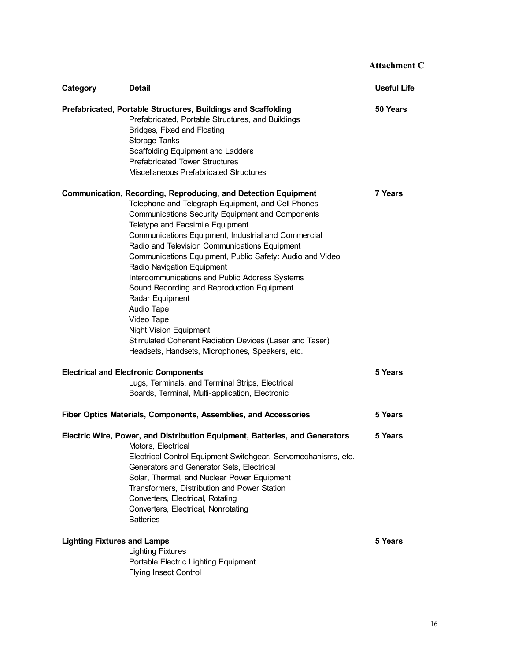| Category                           | <b>Detail</b>                                                                                                                                                                                                                                                                                                                                                                                                                                                                                                                                                                                                                                                                                                       | Useful Life |
|------------------------------------|---------------------------------------------------------------------------------------------------------------------------------------------------------------------------------------------------------------------------------------------------------------------------------------------------------------------------------------------------------------------------------------------------------------------------------------------------------------------------------------------------------------------------------------------------------------------------------------------------------------------------------------------------------------------------------------------------------------------|-------------|
|                                    | Prefabricated, Portable Structures, Buildings and Scaffolding<br>Prefabricated, Portable Structures, and Buildings<br>Bridges, Fixed and Floating<br>Storage Tanks<br>Scaffolding Equipment and Ladders<br><b>Prefabricated Tower Structures</b><br>Miscellaneous Prefabricated Structures                                                                                                                                                                                                                                                                                                                                                                                                                          | 50 Years    |
|                                    | <b>Communication, Recording, Reproducing, and Detection Equipment</b><br>Telephone and Telegraph Equipment, and Cell Phones<br>Communications Security Equipment and Components<br>Teletype and Facsimile Equipment<br>Communications Equipment, Industrial and Commercial<br>Radio and Television Communications Equipment<br>Communications Equipment, Public Safety: Audio and Video<br>Radio Navigation Equipment<br>Intercommunications and Public Address Systems<br>Sound Recording and Reproduction Equipment<br>Radar Equipment<br>Audio Tape<br>Video Tape<br><b>Night Vision Equipment</b><br>Stimulated Coherent Radiation Devices (Laser and Taser)<br>Headsets, Handsets, Microphones, Speakers, etc. | 7 Years     |
|                                    | <b>Electrical and Electronic Components</b><br>Lugs, Terminals, and Terminal Strips, Electrical<br>Boards, Terminal, Multi-application, Electronic                                                                                                                                                                                                                                                                                                                                                                                                                                                                                                                                                                  | 5 Years     |
|                                    | Fiber Optics Materials, Components, Assemblies, and Accessories                                                                                                                                                                                                                                                                                                                                                                                                                                                                                                                                                                                                                                                     | 5 Years     |
|                                    | Electric Wire, Power, and Distribution Equipment, Batteries, and Generators<br>Motors, Electrical<br>Electrical Control Equipment Switchgear, Servomechanisms, etc.<br>Generators and Generator Sets, Electrical<br>Solar, Thermal, and Nuclear Power Equipment<br>Transformers, Distribution and Power Station<br>Converters, Electrical, Rotating<br>Converters, Electrical, Nonrotating<br><b>Batteries</b>                                                                                                                                                                                                                                                                                                      | 5 Years     |
| <b>Lighting Fixtures and Lamps</b> | <b>Lighting Fixtures</b><br>Portable Electric Lighting Equipment<br><b>Flying Insect Control</b>                                                                                                                                                                                                                                                                                                                                                                                                                                                                                                                                                                                                                    | 5 Years     |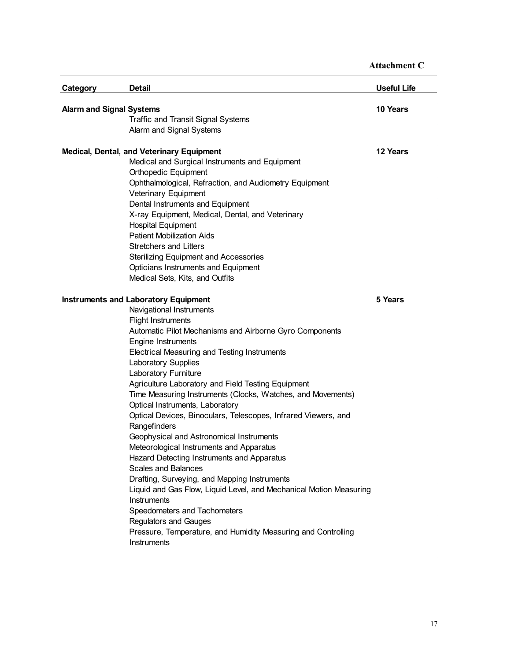| Category                        | <b>Detail</b>                                                      | <b>Useful Life</b> |
|---------------------------------|--------------------------------------------------------------------|--------------------|
| <b>Alarm and Signal Systems</b> |                                                                    | 10 Years           |
|                                 | Traffic and Transit Signal Systems                                 |                    |
|                                 | Alarm and Signal Systems                                           |                    |
|                                 |                                                                    |                    |
|                                 | <b>Medical, Dental, and Veterinary Equipment</b>                   | 12 Years           |
|                                 | Medical and Surgical Instruments and Equipment                     |                    |
|                                 | Orthopedic Equipment                                               |                    |
|                                 | Ophthalmological, Refraction, and Audiometry Equipment             |                    |
|                                 | Veterinary Equipment                                               |                    |
|                                 | Dental Instruments and Equipment                                   |                    |
|                                 | X-ray Equipment, Medical, Dental, and Veterinary                   |                    |
|                                 | <b>Hospital Equipment</b>                                          |                    |
|                                 | <b>Patient Mobilization Aids</b>                                   |                    |
|                                 | <b>Stretchers and Litters</b>                                      |                    |
|                                 | <b>Sterilizing Equipment and Accessories</b>                       |                    |
|                                 | Opticians Instruments and Equipment                                |                    |
|                                 | Medical Sets, Kits, and Outfits                                    |                    |
|                                 | <b>Instruments and Laboratory Equipment</b>                        | 5 Years            |
|                                 | Navigational Instruments                                           |                    |
|                                 | <b>Flight Instruments</b>                                          |                    |
|                                 | Automatic Pilot Mechanisms and Airborne Gyro Components            |                    |
|                                 | <b>Engine Instruments</b>                                          |                    |
|                                 | Electrical Measuring and Testing Instruments                       |                    |
|                                 | Laboratory Supplies                                                |                    |
|                                 | Laboratory Furniture                                               |                    |
|                                 | Agriculture Laboratory and Field Testing Equipment                 |                    |
|                                 | Time Measuring Instruments (Clocks, Watches, and Movements)        |                    |
|                                 | Optical Instruments, Laboratory                                    |                    |
|                                 | Optical Devices, Binoculars, Telescopes, Infrared Viewers, and     |                    |
|                                 | Rangefinders                                                       |                    |
|                                 | Geophysical and Astronomical Instruments                           |                    |
|                                 | Meteorological Instruments and Apparatus                           |                    |
|                                 | Hazard Detecting Instruments and Apparatus                         |                    |
|                                 | <b>Scales and Balances</b>                                         |                    |
|                                 | Drafting, Surveying, and Mapping Instruments                       |                    |
|                                 | Liquid and Gas Flow, Liquid Level, and Mechanical Motion Measuring |                    |
|                                 | Instruments                                                        |                    |
|                                 | Speedometers and Tachometers                                       |                    |
|                                 | <b>Regulators and Gauges</b>                                       |                    |
|                                 | Pressure, Temperature, and Humidity Measuring and Controlling      |                    |
|                                 | Instruments                                                        |                    |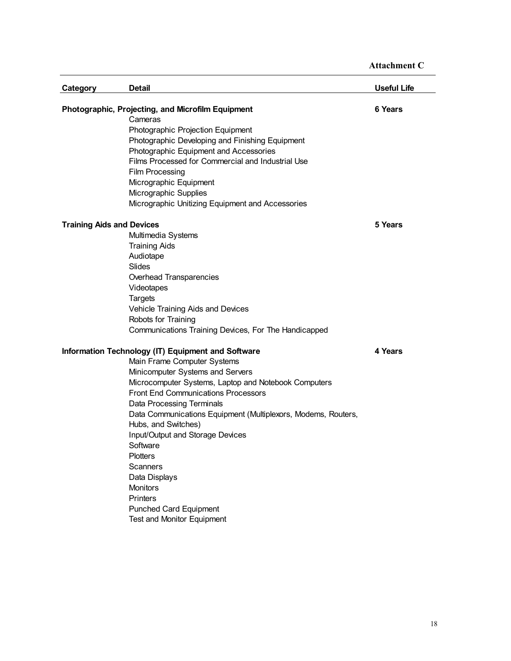| <b>Category</b>                  | <b>Detail</b>                                                                               | <b>Useful Life</b> |
|----------------------------------|---------------------------------------------------------------------------------------------|--------------------|
|                                  | Photographic, Projecting, and Microfilm Equipment                                           | 6 Years            |
|                                  | Cameras                                                                                     |                    |
|                                  | Photographic Projection Equipment                                                           |                    |
|                                  | Photographic Developing and Finishing Equipment                                             |                    |
|                                  | Photographic Equipment and Accessories<br>Films Processed for Commercial and Industrial Use |                    |
|                                  |                                                                                             |                    |
|                                  | <b>Film Processing</b>                                                                      |                    |
|                                  | Micrographic Equipment                                                                      |                    |
|                                  | Micrographic Supplies                                                                       |                    |
|                                  | Micrographic Unitizing Equipment and Accessories                                            |                    |
| <b>Training Aids and Devices</b> |                                                                                             | 5 Years            |
|                                  | Multimedia Systems                                                                          |                    |
|                                  | <b>Training Aids</b>                                                                        |                    |
|                                  | Audiotape                                                                                   |                    |
|                                  | Slides                                                                                      |                    |
|                                  | Overhead Transparencies                                                                     |                    |
|                                  | Videotapes                                                                                  |                    |
|                                  | <b>Targets</b>                                                                              |                    |
|                                  | Vehicle Training Aids and Devices                                                           |                    |
|                                  | Robots for Training                                                                         |                    |
|                                  | Communications Training Devices, For The Handicapped                                        |                    |
|                                  | Information Technology (IT) Equipment and Software                                          | 4 Years            |
|                                  | Main Frame Computer Systems                                                                 |                    |
|                                  | Minicomputer Systems and Servers                                                            |                    |
|                                  | Microcomputer Systems, Laptop and Notebook Computers                                        |                    |
|                                  | <b>Front End Communications Processors</b>                                                  |                    |
|                                  | Data Processing Terminals                                                                   |                    |
|                                  | Data Communications Equipment (Multiplexors, Modems, Routers,                               |                    |
|                                  | Hubs, and Switches)                                                                         |                    |
|                                  | Input/Output and Storage Devices                                                            |                    |
|                                  | Software                                                                                    |                    |
|                                  | <b>Plotters</b>                                                                             |                    |
|                                  | Scanners                                                                                    |                    |
|                                  | Data Displays                                                                               |                    |
|                                  | <b>Monitors</b>                                                                             |                    |
|                                  | <b>Printers</b>                                                                             |                    |
|                                  | <b>Punched Card Equipment</b>                                                               |                    |
|                                  | Test and Monitor Equipment                                                                  |                    |
|                                  |                                                                                             |                    |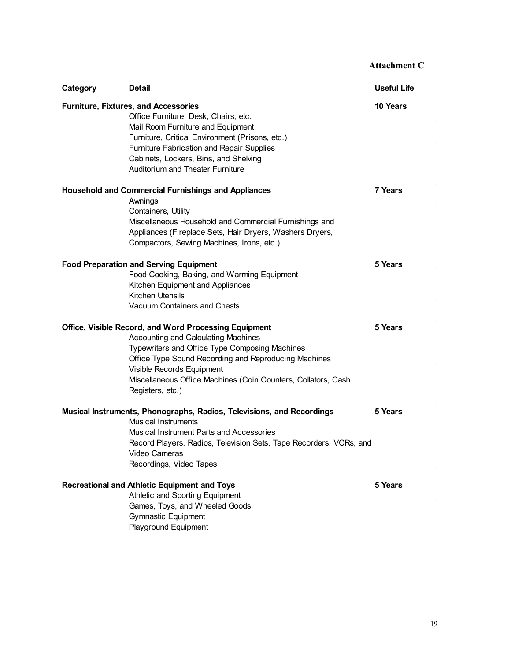| <b>Category</b> | <b>Detail</b>                                                                                                                                                                                                                                                                                                            | <b>Useful Life</b> |
|-----------------|--------------------------------------------------------------------------------------------------------------------------------------------------------------------------------------------------------------------------------------------------------------------------------------------------------------------------|--------------------|
|                 | <b>Furniture, Fixtures, and Accessories</b><br>Office Furniture, Desk, Chairs, etc.<br>Mail Room Furniture and Equipment<br>Furniture, Critical Environment (Prisons, etc.)<br><b>Furniture Fabrication and Repair Supplies</b><br>Cabinets, Lockers, Bins, and Shelving<br><b>Auditorium and Theater Furniture</b>      | 10 Years           |
|                 | <b>Household and Commercial Furnishings and Appliances</b><br>Awnings<br>Containers, Utility<br>Miscellaneous Household and Commercial Furnishings and<br>Appliances (Fireplace Sets, Hair Dryers, Washers Dryers,<br>Compactors, Sewing Machines, Irons, etc.)                                                          | 7 Years            |
|                 | <b>Food Preparation and Serving Equipment</b><br>Food Cooking, Baking, and Warming Equipment<br>Kitchen Equipment and Appliances<br><b>Kitchen Utensils</b><br>Vacuum Containers and Chests                                                                                                                              | 5 Years            |
|                 | Office, Visible Record, and Word Processing Equipment<br>Accounting and Calculating Machines<br>Typewriters and Office Type Composing Machines<br>Office Type Sound Recording and Reproducing Machines<br>Visible Records Equipment<br>Miscellaneous Office Machines (Coin Counters, Collators, Cash<br>Registers, etc.) | 5 Years            |
|                 | Musical Instruments, Phonographs, Radios, Televisions, and Recordings<br><b>Musical Instruments</b><br><b>Musical Instrument Parts and Accessories</b><br>Record Players, Radios, Television Sets, Tape Recorders, VCRs, and<br>Video Cameras<br>Recordings, Video Tapes                                                 | 5 Years            |
|                 | Recreational and Athletic Equipment and Toys<br>Athletic and Sporting Equipment<br>Games, Toys, and Wheeled Goods<br><b>Gymnastic Equipment</b><br>Playground Equipment                                                                                                                                                  | 5 Years            |